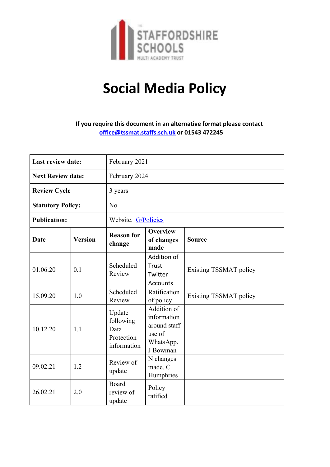

# **Social Media Policy**

**If you require this document in an alternative format please contact office@tssmat.staffs.sch.uk or 01543 472245**

| <b>Last review date:</b> |                | February 2021                                            |                                                                               |                               |
|--------------------------|----------------|----------------------------------------------------------|-------------------------------------------------------------------------------|-------------------------------|
| <b>Next Review date:</b> |                | February 2024                                            |                                                                               |                               |
| <b>Review Cycle</b>      |                | 3 years                                                  |                                                                               |                               |
| <b>Statutory Policy:</b> |                | N <sub>o</sub>                                           |                                                                               |                               |
| <b>Publication:</b>      |                | Website. G/Policies                                      |                                                                               |                               |
| Date                     | <b>Version</b> | <b>Reason for</b><br>change                              | <b>Overview</b><br>of changes<br>made                                         | <b>Source</b>                 |
| 01.06.20                 | 0.1            | Scheduled<br>Review                                      | Addition of<br>Trust<br>Twitter<br><b>Accounts</b>                            | <b>Existing TSSMAT policy</b> |
| 15.09.20                 | 1.0            | Scheduled<br>Review                                      | Ratification<br>of policy                                                     | <b>Existing TSSMAT policy</b> |
| 10.12.20                 | 1.1            | Update<br>following<br>Data<br>Protection<br>information | Addition of<br>information<br>around staff<br>use of<br>WhatsApp.<br>J Bowman |                               |
| 09.02.21                 | 1.2            | Review of<br>update                                      | N changes<br>made. C<br>Humphries                                             |                               |
| 26.02.21                 | 2.0            | <b>Board</b><br>review of<br>update                      | Policy<br>ratified                                                            |                               |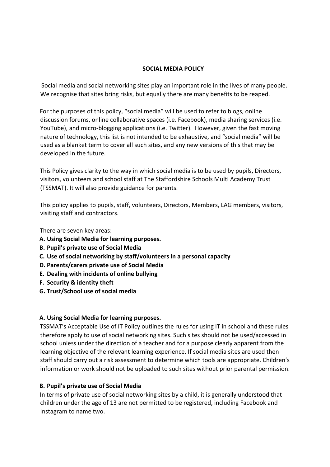#### **SOCIAL MEDIA POLICY**

 Social media and social networking sites play an important role in the lives of many people. We recognise that sites bring risks, but equally there are many benefits to be reaped.

For the purposes of this policy, "social media" will be used to refer to blogs, online discussion forums, online collaborative spaces (i.e. Facebook), media sharing services (i.e. YouTube), and micro-blogging applications (i.e. Twitter). However, given the fast moving nature of technology, this list is not intended to be exhaustive, and "social media" will be used as a blanket term to cover all such sites, and any new versions of this that may be developed in the future.

This Policy gives clarity to the way in which social media is to be used by pupils, Directors, visitors, volunteers and school staff at The Staffordshire Schools Multi Academy Trust (TSSMAT). It will also provide guidance for parents.

This policy applies to pupils, staff, volunteers, Directors, Members, LAG members, visitors, visiting staff and contractors.

There are seven key areas:

- **A. Using Social Media for learning purposes.**
- **B. Pupil's private use of Social Media**
- **C. Use of social networking by staff/volunteers in a personal capacity**
- **D. Parents/carers private use of Social Media**
- **E. Dealing with incidents of online bullying**
- **F. Security & identity theft**
- **G. Trust/School use of social media**

# **A. Using Social Media for learning purposes.**

TSSMAT's Acceptable Use of IT Policy outlines the rules for using IT in school and these rules therefore apply to use of social networking sites. Such sites should not be used/accessed in school unless under the direction of a teacher and for a purpose clearly apparent from the learning objective of the relevant learning experience. If social media sites are used then staff should carry out a risk assessment to determine which tools are appropriate. Children's information or work should not be uploaded to such sites without prior parental permission.

# **B. Pupil's private use of Social Media**

In terms of private use of social networking sites by a child, it is generally understood that children under the age of 13 are not permitted to be registered, including Facebook and Instagram to name two.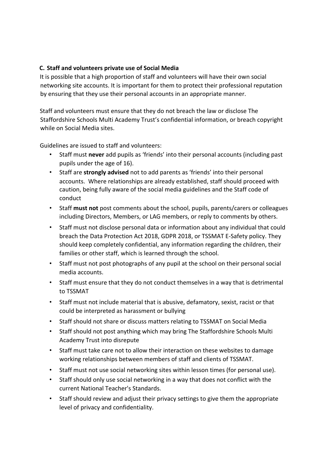# **C. Staff and volunteers private use of Social Media**

It is possible that a high proportion of staff and volunteers will have their own social networking site accounts. It is important for them to protect their professional reputation by ensuring that they use their personal accounts in an appropriate manner.

Staff and volunteers must ensure that they do not breach the law or disclose The Staffordshire Schools Multi Academy Trust's confidential information, or breach copyright while on Social Media sites.

Guidelines are issued to staff and volunteers:

- Staff must **never** add pupils as 'friends' into their personal accounts (including past pupils under the age of 16).
- Staff are **strongly advised** not to add parents as 'friends' into their personal accounts. Where relationships are already established, staff should proceed with caution, being fully aware of the social media guidelines and the Staff code of conduct
- Staff **must not** post comments about the school, pupils, parents/carers or colleagues including Directors, Members, or LAG members, or reply to comments by others.
- Staff must not disclose personal data or information about any individual that could breach the Data Protection Act 2018, GDPR 2018, or TSSMAT E-Safety policy. They should keep completely confidential, any information regarding the children, their families or other staff, which is learned through the school.
- Staff must not post photographs of any pupil at the school on their personal social media accounts.
- Staff must ensure that they do not conduct themselves in a way that is detrimental to TSSMAT
- Staff must not include material that is abusive, defamatory, sexist, racist or that could be interpreted as harassment or bullying
- Staff should not share or discuss matters relating to TSSMAT on Social Media
- Staff should not post anything which may bring The Staffordshire Schools Multi Academy Trust into disrepute
- Staff must take care not to allow their interaction on these websites to damage working relationships between members of staff and clients of TSSMAT.
- Staff must not use social networking sites within lesson times (for personal use).
- Staff should only use social networking in a way that does not conflict with the current National Teacher's Standards.
- Staff should review and adjust their privacy settings to give them the appropriate level of privacy and confidentiality.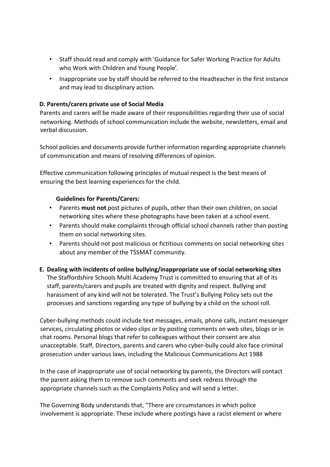- Staff should read and comply with 'Guidance for Safer Working Practice for Adults who Work with Children and Young People'.
- Inappropriate use by staff should be referred to the Headteacher in the first instance and may lead to disciplinary action.

# **D. Parents/carers private use of Social Media**

Parents and carers will be made aware of their responsibilities regarding their use of social networking. Methods of school communication include the website, newsletters, email and verbal discussion.

School policies and documents provide further information regarding appropriate channels of communication and means of resolving differences of opinion.

Effective communication following principles of mutual respect is the best means of ensuring the best learning experiences for the child.

#### **Guidelines for Parents/Carers:**

- Parents **must not** post pictures of pupils, other than their own children, on social networking sites where these photographs have been taken at a school event.
- Parents should make complaints through official school channels rather than posting them on social networking sites.
- Parents should not post malicious or fictitious comments on social networking sites about any member of the TSSMAT community.

# **E. Dealing with incidents of online bullying/inappropriate use of social networking sites**

The Staffordshire Schools Multi Academy Trust is committed to ensuring that all of its staff, parents/carers and pupils are treated with dignity and respect. Bullying and harassment of any kind will not be tolerated. The Trust's Bullying Policy sets out the processes and sanctions regarding any type of bullying by a child on the school roll.

Cyber-bullying methods could include text messages, emails, phone calls, instant messenger services, circulating photos or video clips or by posting comments on web sites, blogs or in chat rooms. Personal blogs that refer to colleagues without their consent are also unacceptable. Staff, Directors, parents and carers who cyber-bully could also face criminal prosecution under various laws, including the Malicious Communications Act 1988

In the case of inappropriate use of social networking by parents, the Directors will contact the parent asking them to remove such comments and seek redress through the appropriate channels such as the Complaints Policy and will send a letter.

The Governing Body understands that, "There are circumstances in which police involvement is appropriate. These include where postings have a racist element or where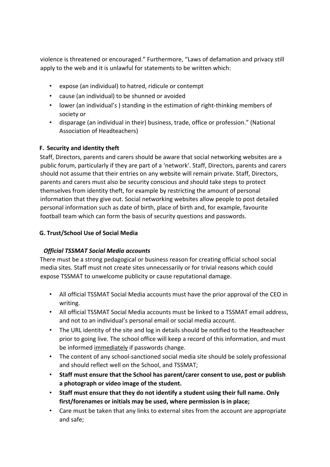violence is threatened or encouraged." Furthermore, "Laws of defamation and privacy still apply to the web and it is unlawful for statements to be written which:

- expose (an individual) to hatred, ridicule or contempt
- cause (an individual) to be shunned or avoided
- lower (an individual's ) standing in the estimation of right-thinking members of society or
- disparage (an individual in their) business, trade, office or profession." (National Association of Headteachers)

# **F. Security and identity theft**

Staff, Directors, parents and carers should be aware that social networking websites are a public forum, particularly if they are part of a 'network'. Staff, Directors, parents and carers should not assume that their entries on any website will remain private. Staff, Directors, parents and carers must also be security conscious and should take steps to protect themselves from identity theft, for example by restricting the amount of personal information that they give out. Social networking websites allow people to post detailed personal information such as date of birth, place of birth and, for example, favourite football team which can form the basis of security questions and passwords.

# **G. Trust/School Use of Social Media**

# *Official TSSMAT Social Media accounts*

There must be a strong pedagogical or business reason for creating official school social media sites. Staff must not create sites unnecessarily or for trivial reasons which could expose TSSMAT to unwelcome publicity or cause reputational damage.

- All official TSSMAT Social Media accounts must have the prior approval of the CEO in writing.
- All official TSSMAT Social Media accounts must be linked to a TSSMAT email address, and not to an individual's personal email or social media account.
- The URL identity of the site and log in details should be notified to the Headteacher prior to going live. The school office will keep a record of this information, and must be informed immediately if passwords change.
- The content of any school-sanctioned social media site should be solely professional and should reflect well on the School, and TSSMAT;
- **Staff must ensure that the School has parent/carer consent to use, post or publish a photograph or video image of the student.**
- **Staff must ensure that they do not identify a student using their full name. Only first/forenames or initials may be used, where permission is in place;**
- Care must be taken that any links to external sites from the account are appropriate and safe;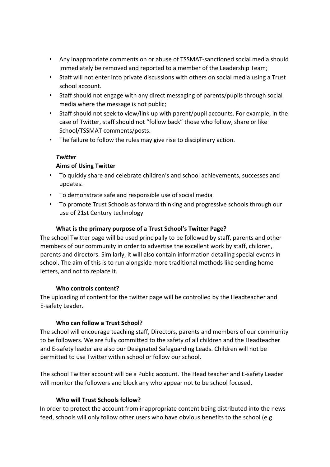- Any inappropriate comments on or abuse of TSSMAT-sanctioned social media should immediately be removed and reported to a member of the Leadership Team;
- Staff will not enter into private discussions with others on social media using a Trust school account.
- Staff should not engage with any direct messaging of parents/pupils through social media where the message is not public;
- Staff should not seek to view/link up with parent/pupil accounts. For example, in the case of Twitter, staff should not "follow back" those who follow, share or like School/TSSMAT comments/posts.
- The failure to follow the rules may give rise to disciplinary action.

# *Twitter*

# **Aims of Using Twitter**

- To quickly share and celebrate children's and school achievements, successes and updates.
- To demonstrate safe and responsible use of social media
- To promote Trust Schools as forward thinking and progressive schools through our use of 21st Century technology

# **What is the primary purpose of a Trust School's Twitter Page?**

The school Twitter page will be used principally to be followed by staff, parents and other members of our community in order to advertise the excellent work by staff, children, parents and directors. Similarly, it will also contain information detailing special events in school. The aim of this is to run alongside more traditional methods like sending home letters, and not to replace it.

# **Who controls content?**

The uploading of content for the twitter page will be controlled by the Headteacher and E-safety Leader.

# **Who can follow a Trust School?**

The school will encourage teaching staff, Directors, parents and members of our community to be followers. We are fully committed to the safety of all children and the Headteacher and E-safety leader are also our Designated Safeguarding Leads. Children will not be permitted to use Twitter within school or follow our school.

The school Twitter account will be a Public account. The Head teacher and E-safety Leader will monitor the followers and block any who appear not to be school focused.

# **Who will Trust Schools follow?**

In order to protect the account from inappropriate content being distributed into the news feed, schools will only follow other users who have obvious benefits to the school (e.g.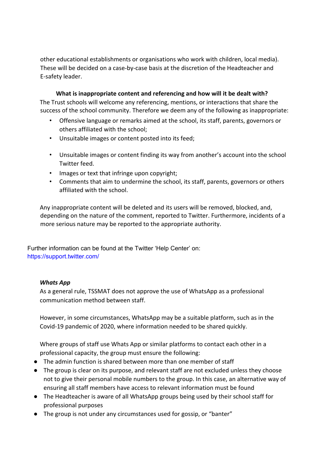other educational establishments or organisations who work with children, local media). These will be decided on a case-by-case basis at the discretion of the Headteacher and E-safety leader.

**What is inappropriate content and referencing and how will it be dealt with?** The Trust schools will welcome any referencing, mentions, or interactions that share the success of the school community. Therefore we deem any of the following as inappropriate:

- Offensive language or remarks aimed at the school, its staff, parents, governors or others affiliated with the school;
- Unsuitable images or content posted into its feed;
- Unsuitable images or content finding its way from another's account into the school Twitter feed.
- Images or text that infringe upon copyright;
- Comments that aim to undermine the school, its staff, parents, governors or others affiliated with the school.

Any inappropriate content will be deleted and its users will be removed, blocked, and, depending on the nature of the comment, reported to Twitter. Furthermore, incidents of a more serious nature may be reported to the appropriate authority.

Further information can be found at the Twitter 'Help Center' on: https://support.twitter.com/

# *Whats App*

As a general rule, TSSMAT does not approve the use of WhatsApp as a professional communication method between staff.

However, in some circumstances, WhatsApp may be a suitable platform, such as in the Covid-19 pandemic of 2020, where information needed to be shared quickly.

Where groups of staff use Whats App or similar platforms to contact each other in a professional capacity, the group must ensure the following:

- The admin function is shared between more than one member of staff
- The group is clear on its purpose, and relevant staff are not excluded unless they choose not to give their personal mobile numbers to the group. In this case, an alternative way of ensuring all staff members have access to relevant information must be found
- The Headteacher is aware of all WhatsApp groups being used by their school staff for professional purposes
- The group is not under any circumstances used for gossip, or "banter"